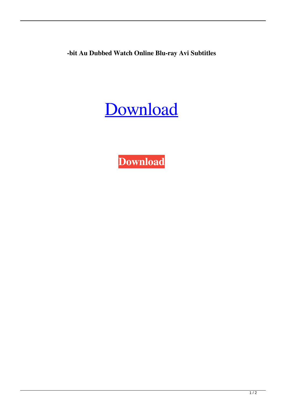**-bit Au Dubbed Watch Online Blu-ray Avi Subtitles**

## [Download](http://evacdir.com/anglia.extricated?hypermarch=/eGZvcmNlIGtleWdlbiA2NC1iaXQgQXV0b0NBRCBPRU0gMjAxNSBkb3dubG9hZAeGZ/priorty.ZG93bmxvYWR8eE44TVRBM2JYeDhNVFkxTWpjME1EZzJObng4TWpVM05IeDhLRTBwSUhKbFlXUXRZbXh2WnlCYlJtRnpkQ0JIUlU1ZA)

**[Download](http://evacdir.com/anglia.extricated?hypermarch=/eGZvcmNlIGtleWdlbiA2NC1iaXQgQXV0b0NBRCBPRU0gMjAxNSBkb3dubG9hZAeGZ/priorty.ZG93bmxvYWR8eE44TVRBM2JYeDhNVFkxTWpjME1EZzJObng4TWpVM05IeDhLRTBwSUhKbFlXUXRZbXh2WnlCYlJtRnpkQ0JIUlU1ZA)**